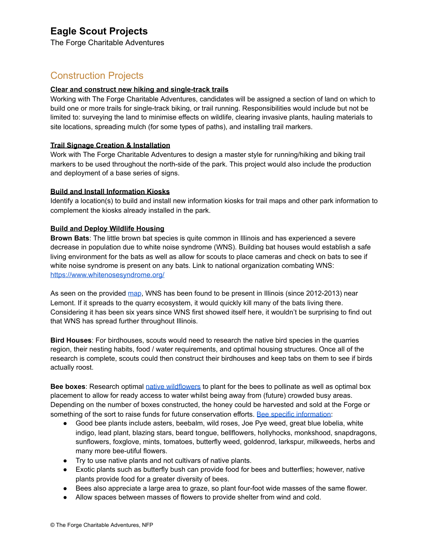# **Eagle Scout Projects**

The Forge Charitable Adventures

## Construction Projects

### **Clear and construct new hiking and single-track trails**

Working with The Forge Charitable Adventures, candidates will be assigned a section of land on which to build one or more trails for single-track biking, or trail running. Responsibilities would include but not be limited to: surveying the land to minimise effects on wildlife, clearing invasive plants, hauling materials to site locations, spreading mulch (for some types of paths), and installing trail markers.

## **Trail Signage Creation & Installation**

Work with The Forge Charitable Adventures to design a master style for running/hiking and biking trail markers to be used throughout the north-side of the park. This project would also include the production and deployment of a base series of signs.

### **Build and Install Information Kiosks**

Identify a location(s) to build and install new information kiosks for trail maps and other park information to complement the kiosks already installed in the park.

### **Build and Deploy Wildlife Housing**

**Brown Bats**: The little brown bat species is quite common in Illinois and has experienced a severe decrease in population due to white noise syndrome (WNS). Building bat houses would establish a safe living environment for the bats as well as allow for scouts to place cameras and check on bats to see if white noise syndrome is present on any bats. Link to national organization combating WNS: <https://www.whitenosesyndrome.org/>

As seen on the provided [map](https://www.whitenosesyndrome.org/static-spread-map/may-8-2019), WNS has been found to be present in Illinois (since 2012-2013) near Lemont. If it spreads to the quarry ecosystem, it would quickly kill many of the bats living there. Considering it has been six years since WNS first showed itself here, it wouldn't be surprising to find out that WNS has spread further throughout Illinois.

**Bird Houses**: For birdhouses, scouts would need to research the native bird species in the quarries region, their nesting habits, food / water requirements, and optimal housing structures. Once all of the research is complete, scouts could then construct their birdhouses and keep tabs on them to see if birds actually roost.

**Bee boxes**: Research optimal native [wildflowers](https://extension.illinois.edu/wildflowers/directory.cfm) to plant for the bees to pollinate as well as optimal box placement to allow for ready access to water whilst being away from (future) crowded busy areas. Depending on the number of boxes constructed, the honey could be harvested and sold at the Forge or something of the sort to raise funds for future conservation efforts. Bee specific [information](https://web.extension.illinois.edu/cfiv/homeowners/140522.html):

- Good bee plants include asters, beebalm, wild roses, Joe Pye weed, great blue lobelia, white indigo, lead plant, blazing stars, beard tongue, bellflowers, hollyhocks, monkshood, snapdragons, sunflowers, foxglove, mints, tomatoes, butterfly weed, goldenrod, larkspur, milkweeds, herbs and many more bee-utiful flowers.
- Try to use native plants and not cultivars of native plants.
- Exotic plants such as butterfly bush can provide food for bees and butterflies; however, native plants provide food for a greater diversity of bees.
- Bees also appreciate a large area to graze, so plant four-foot wide masses of the same flower.
- Allow spaces between masses of flowers to provide shelter from wind and cold.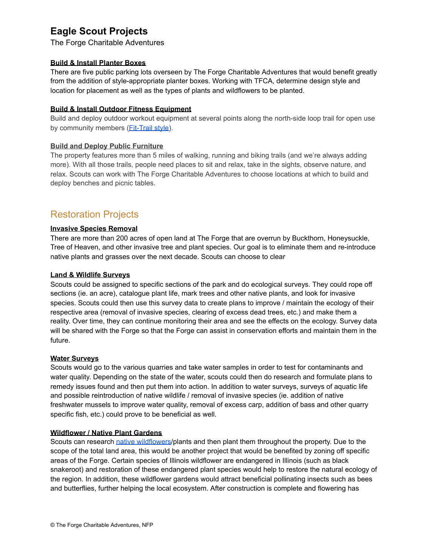# **Eagle Scout Projects**

The Forge Charitable Adventures

### **Build & Install Planter Boxes**

There are five public parking lots overseen by The Forge Charitable Adventures that would benefit greatly from the addition of style-appropriate planter boxes. Working with TFCA, determine design style and location for placement as well as the types of plants and wildflowers to be planted.

### **Build & Install Outdoor Fitness Equipment**

Build and deploy outdoor workout equipment at several points along the north-side loop trail for open use by community members (*Fit-Trail style*).

## **Build and Deploy Public Furniture**

The property features more than 5 miles of walking, running and biking trails (and we're always adding more). With all those trails, people need places to sit and relax, take in the sights, observe nature, and relax. Scouts can work with The Forge Charitable Adventures to choose locations at which to build and deploy benches and picnic tables.

## Restoration Projects

## **Invasive Species Removal**

There are more than 200 acres of open land at The Forge that are overrun by Buckthorn, Honeysuckle, Tree of Heaven, and other invasive tree and plant species. Our goal is to eliminate them and re-introduce native plants and grasses over the next decade. Scouts can choose to clear

### **Land & Wildlife Surveys**

Scouts could be assigned to specific sections of the park and do ecological surveys. They could rope off sections (ie. an acre), catalogue plant life, mark trees and other native plants, and look for invasive species. Scouts could then use this survey data to create plans to improve / maintain the ecology of their respective area (removal of invasive species, clearing of excess dead trees, etc.) and make them a reality. Over time, they can continue monitoring their area and see the effects on the ecology. Survey data will be shared with the Forge so that the Forge can assist in conservation efforts and maintain them in the future.

### **Water Surveys**

Scouts would go to the various quarries and take water samples in order to test for contaminants and water quality. Depending on the state of the water, scouts could then do research and formulate plans to remedy issues found and then put them into action. In addition to water surveys, surveys of aquatic life and possible reintroduction of native wildlife / removal of invasive species (ie. addition of native freshwater mussels to improve water quality, removal of excess carp, addition of bass and other quarry specific fish, etc.) could prove to be beneficial as well.

### **Wildflower / Native Plant Gardens**

Scouts can research native [wildflowers](https://extension.illinois.edu/wildflowers/directory.cfm)/plants and then plant them throughout the property. Due to the scope of the total land area, this would be another project that would be benefited by zoning off specific areas of the Forge. Certain species of Illinois wildflower are endangered in Illinois (such as black snakeroot) and restoration of these endangered plant species would help to restore the natural ecology of the region. In addition, these wildflower gardens would attract beneficial pollinating insects such as bees and butterflies, further helping the local ecosystem. After construction is complete and flowering has